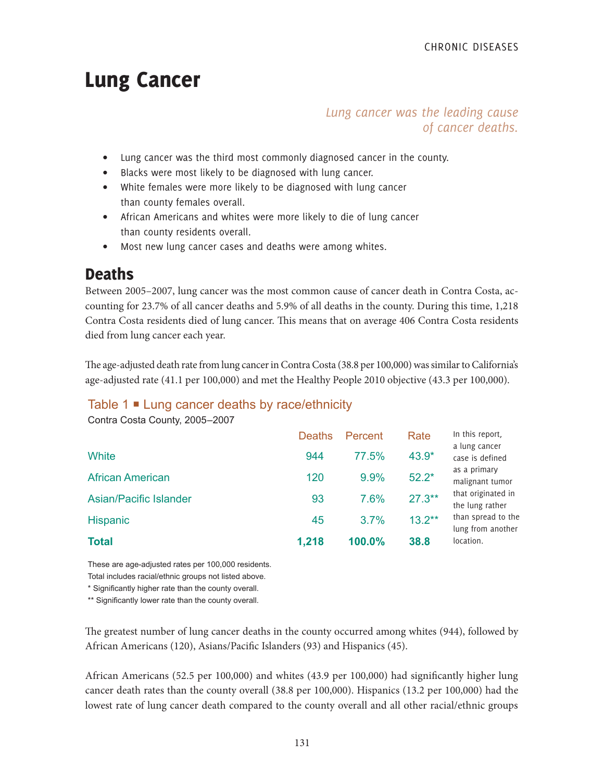# Lung Cancer

### *Lung cancer was the leading cause of cancer deaths.*

- Lung cancer was the third most commonly diagnosed cancer in the county.
- Blacks were most likely to be diagnosed with lung cancer.
- White females were more likely to be diagnosed with lung cancer than county females overall.
- African Americans and whites were more likely to die of lung cancer than county residents overall.
- Most new lung cancer cases and deaths were among whites.

# **Deaths**

Between 2005–2007, lung cancer was the most common cause of cancer death in Contra Costa, accounting for 23.7% of all cancer deaths and 5.9% of all deaths in the county. During this time, 1,218 Contra Costa residents died of lung cancer. This means that on average 406 Contra Costa residents died from lung cancer each year.

The age-adjusted death rate from lung cancer in Contra Costa (38.8 per 100,000) was similar to California's age-adjusted rate (41.1 per 100,000) and met the Healthy People 2010 objective (43.3 per 100,000).

### Table 1 **■** Lung cancer deaths by race/ethnicity

Contra Costa County, 2005–2007

|                         | <b>Deaths</b> | Percent | Rate      | In this report,<br>a lung cancer        |
|-------------------------|---------------|---------|-----------|-----------------------------------------|
| White                   | 944           | 77.5%   | $43.9*$   | case is defined                         |
| <b>African American</b> | 120           | $9.9\%$ | $52.2*$   | as a primary<br>malignant tumor         |
| Asian/Pacific Islander  | 93            | 7.6%    | $27.3***$ | that originated in<br>the lung rather   |
| <b>Hispanic</b>         | 45            | 3.7%    | $13.2***$ | than spread to the<br>lung from another |
| <b>Total</b>            | 1,218         | 100.0%  | 38.8      | location.                               |

These are age-adjusted rates per 100,000 residents.

Total includes racial/ethnic groups not listed above.

\* Significantly higher rate than the county overall.

\*\* Significantly lower rate than the county overall.

The greatest number of lung cancer deaths in the county occurred among whites (944), followed by African Americans (120), Asians/Pacific Islanders (93) and Hispanics (45).

African Americans (52.5 per 100,000) and whites (43.9 per 100,000) had significantly higher lung cancer death rates than the county overall (38.8 per 100,000). Hispanics (13.2 per 100,000) had the lowest rate of lung cancer death compared to the county overall and all other racial/ethnic groups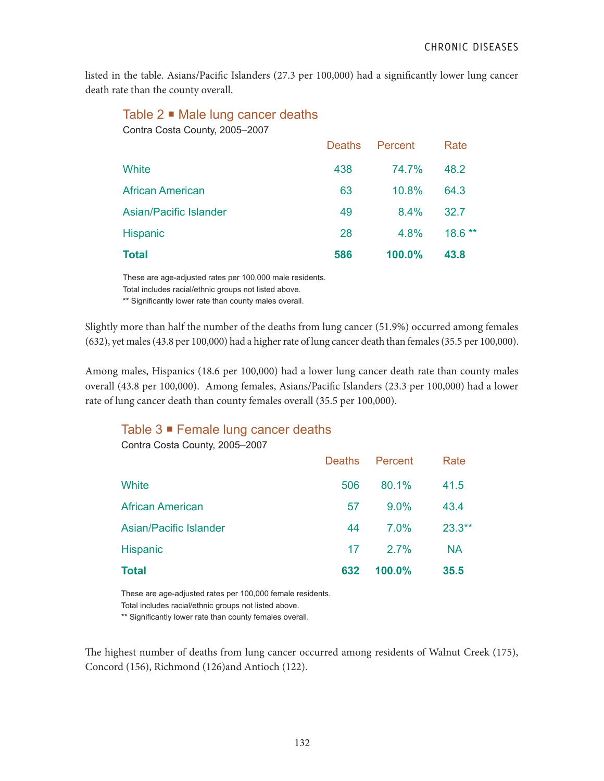listed in the table. Asians/Pacific Islanders (27.3 per 100,000) had a significantly lower lung cancer death rate than the county overall.

### Table  $2 \blacksquare$  Male lung cancer deaths

Contra Costa County, 2005–2007

| <b>Total</b>                  | 586           | $100.0\%$ | 43.8      |
|-------------------------------|---------------|-----------|-----------|
| <b>Hispanic</b>               | 28            | 4.8%      | $18.6***$ |
| <b>Asian/Pacific Islander</b> | 49            | 8.4%      | 32.7      |
| <b>African American</b>       | 63            | 10.8%     | 64.3      |
| White                         | 438           | 74.7%     | 48.2      |
|                               | <b>Deaths</b> | Percent   | Rate      |

These are age-adjusted rates per 100,000 male residents. Total includes racial/ethnic groups not listed above.

\*\* Significantly lower rate than county males overall.

Slightly more than half the number of the deaths from lung cancer (51.9%) occurred among females (632), yet males (43.8 per 100,000) had a higher rate of lung cancer death than females (35.5 per 100,000).

Among males, Hispanics (18.6 per 100,000) had a lower lung cancer death rate than county males overall (43.8 per 100,000). Among females, Asians/Pacific Islanders (23.3 per 100,000) had a lower rate of lung cancer death than county females overall (35.5 per 100,000).

### Table 3 **■** Female lung cancer deaths

Contra Costa County, 2005–2007

| <b>Total</b>                  | 632           | 100.0%  | 35.5      |
|-------------------------------|---------------|---------|-----------|
| <b>Hispanic</b>               | 17            | 2.7%    | <b>NA</b> |
| <b>Asian/Pacific Islander</b> | 44            | $7.0\%$ | $23.3**$  |
| <b>African American</b>       | 57            | $9.0\%$ | 43.4      |
| <b>White</b>                  | 506           | 80.1%   | 41.5      |
|                               | <b>Deaths</b> | Percent | Rate      |

These are age-adjusted rates per 100,000 female residents.

Total includes racial/ethnic groups not listed above.

\*\* Significantly lower rate than county females overall.

The highest number of deaths from lung cancer occurred among residents of Walnut Creek (175), Concord (156), Richmond (126)and Antioch (122).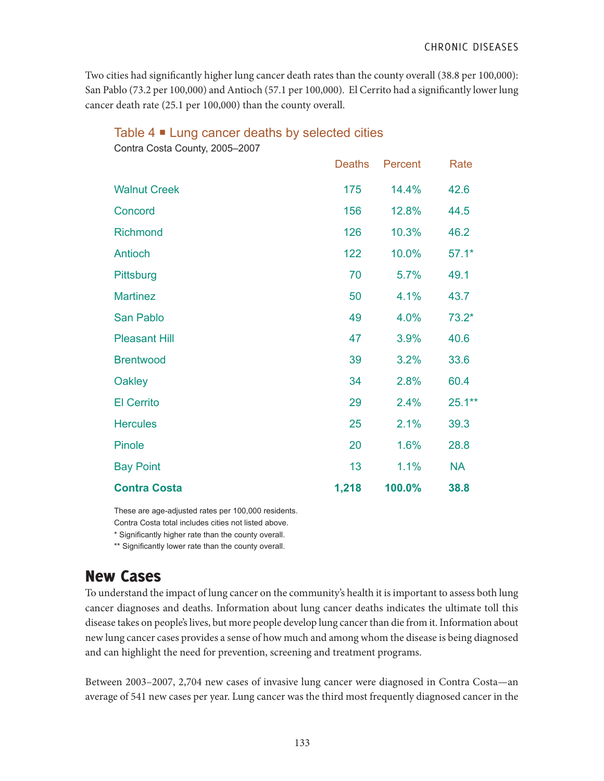Two cities had significantly higher lung cancer death rates than the county overall (38.8 per 100,000): San Pablo (73.2 per 100,000) and Antioch (57.1 per 100,000). El Cerrito had a significantly lower lung cancer death rate (25.1 per 100,000) than the county overall.

| <b>Contra Costa</b>                                          | 1,218         | 100.0%  | 38.8      |
|--------------------------------------------------------------|---------------|---------|-----------|
| <b>Bay Point</b>                                             | 13            | 1.1%    | <b>NA</b> |
| <b>Pinole</b>                                                | 20            | 1.6%    | 28.8      |
| <b>Hercules</b>                                              | 25            | 2.1%    | 39.3      |
| <b>El Cerrito</b>                                            | 29            | 2.4%    | $25.1***$ |
| Oakley                                                       | 34            | 2.8%    | 60.4      |
| <b>Brentwood</b>                                             | 39            | 3.2%    | 33.6      |
| <b>Pleasant Hill</b>                                         | 47            | 3.9%    | 40.6      |
| <b>San Pablo</b>                                             | 49            | 4.0%    | $73.2*$   |
| <b>Martinez</b>                                              | 50            | 4.1%    | 43.7      |
| Pittsburg                                                    | 70            | 5.7%    | 49.1      |
| <b>Antioch</b>                                               | 122           | 10.0%   | $57.1*$   |
| <b>Richmond</b>                                              | 126           | 10.3%   | 46.2      |
| Concord                                                      | 156           | 12.8%   | 44.5      |
| <b>Walnut Creek</b>                                          | 175           | 14.4%   | 42.6      |
|                                                              | <b>Deaths</b> | Percent | Rate      |
| Contra Costa County, 2005-2007                               |               |         |           |
| Table 4 $\blacksquare$ Lung cancer deaths by selected cities |               |         |           |

These are age-adjusted rates per 100,000 residents.

Contra Costa total includes cities not listed above.

\* Significantly higher rate than the county overall.

\*\* Significantly lower rate than the county overall.

# New Cases

To understand the impact of lung cancer on the community's health it is important to assess both lung cancer diagnoses and deaths. Information about lung cancer deaths indicates the ultimate toll this disease takes on people's lives, but more people develop lung cancer than die from it. Information about new lung cancer cases provides a sense of how much and among whom the disease is being diagnosed and can highlight the need for prevention, screening and treatment programs.

Between 2003–2007, 2,704 new cases of invasive lung cancer were diagnosed in Contra Costa—an average of 541 new cases per year. Lung cancer was the third most frequently diagnosed cancer in the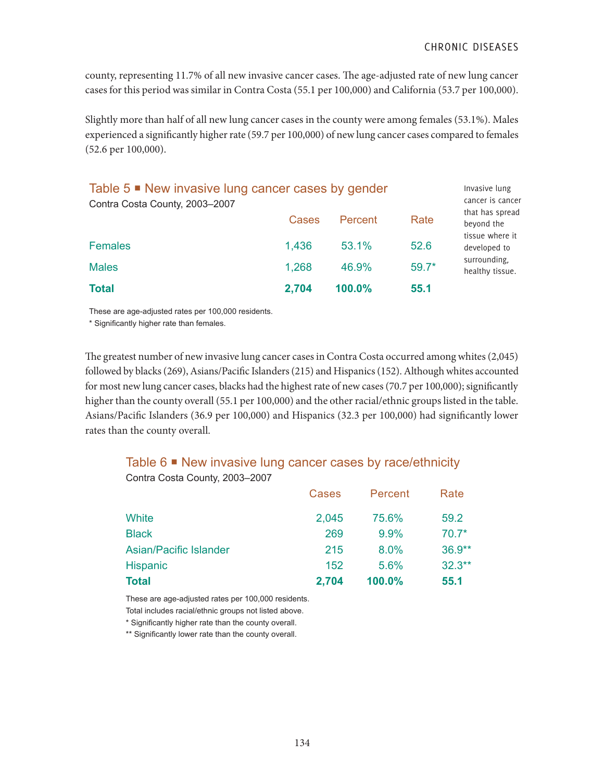county, representing 11.7% of all new invasive cancer cases. The age-adjusted rate of new lung cancer cases for this period was similar in Contra Costa (55.1 per 100,000) and California (53.7 per 100,000).

Slightly more than half of all new lung cancer cases in the county were among females (53.1%). Males experienced a significantly higher rate (59.7 per 100,000) of new lung cancer cases compared to females (52.6 per 100,000).

| <b>Females</b> | 1,436 | 53.1%  | 52.6    | tissue where it<br>developed to<br>surrounding, |
|----------------|-------|--------|---------|-------------------------------------------------|
| <b>Males</b>   | 1,268 | 46.9%  | $59.7*$ | healthy tissue.                                 |
| <b>Total</b>   | 2,704 | 100.0% | 55.1    |                                                 |

These are age-adjusted rates per 100,000 residents.

\* Significantly higher rate than females.

The greatest number of new invasive lung cancer cases in Contra Costa occurred among whites (2,045) followed by blacks (269), Asians/Pacific Islanders (215) and Hispanics (152). Although whites accounted for most new lung cancer cases, blacks had the highest rate of new cases (70.7 per 100,000); significantly higher than the county overall (55.1 per 100,000) and the other racial/ethnic groups listed in the table. Asians/Pacific Islanders (36.9 per 100,000) and Hispanics (32.3 per 100,000) had significantly lower rates than the county overall.

### Table  $6 \blacksquare$  New invasive lung cancer cases by race/ethnicity

|                        | Cases | Percent | Rate     |  |
|------------------------|-------|---------|----------|--|
| White                  | 2,045 | 75.6%   | 59.2     |  |
| <b>Black</b>           | 269   | 9.9%    | $70.7*$  |  |
| Asian/Pacific Islander | 215   | 8.0%    | $36.9**$ |  |
| <b>Hispanic</b>        | 152   | 5.6%    | $32.3**$ |  |
| <b>Total</b>           | 2,704 | 100.0%  | 55.1     |  |

Contra Costa County, 2003–2007

These are age-adjusted rates per 100,000 residents. Total includes racial/ethnic groups not listed above.

\* Significantly higher rate than the county overall.

\*\* Significantly lower rate than the county overall.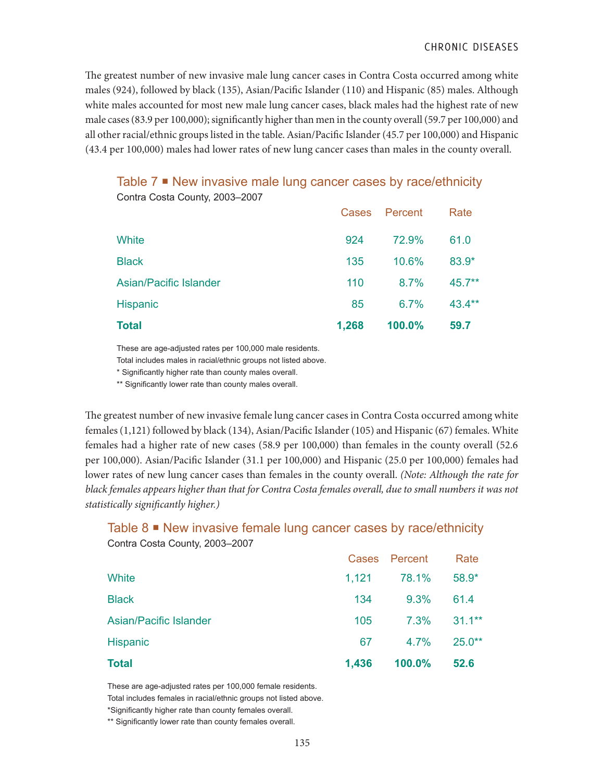The greatest number of new invasive male lung cancer cases in Contra Costa occurred among white males (924), followed by black (135), Asian/Pacific Islander (110) and Hispanic (85) males. Although white males accounted for most new male lung cancer cases, black males had the highest rate of new male cases (83.9 per 100,000); significantly higher than men in the county overall (59.7 per 100,000) and all other racial/ethnic groups listed in the table. Asian/Pacific Islander (45.7 per 100,000) and Hispanic (43.4 per 100,000) males had lower rates of new lung cancer cases than males in the county overall.

### Table 7 **•** New invasive male lung cancer cases by race/ethnicity Contra Costa County, 2003–2007

| <b>Total</b>           | 1,268 | 100.0%  | 59.7      |
|------------------------|-------|---------|-----------|
| Hispanic               | 85    | 6.7%    | $43.4***$ |
| Asian/Pacific Islander | 110   | 8.7%    | $45.7**$  |
| <b>Black</b>           | 135   | 10.6%   | $83.9*$   |
| White                  | 924   | 72.9%   | 61.0      |
|                        | Cases | Percent | Rate      |

These are age-adjusted rates per 100,000 male residents.

Total includes males in racial/ethnic groups not listed above.

\* Significantly higher rate than county males overall.

\*\* Significantly lower rate than county males overall.

The greatest number of new invasive female lung cancer cases in Contra Costa occurred among white females (1,121) followed by black (134), Asian/Pacific Islander (105) and Hispanic (67) females. White females had a higher rate of new cases (58.9 per 100,000) than females in the county overall (52.6 per 100,000). Asian/Pacific Islander (31.1 per 100,000) and Hispanic (25.0 per 100,000) females had lower rates of new lung cancer cases than females in the county overall. *(Note: Although the rate for black females appears higher than that for Contra Costa females overall, due to small numbers it was not statistically significantly higher.)*

### Table 8 ■ New invasive female lung cancer cases by race/ethnicity

Contra Costa County, 2003–2007

| <b>Total</b>                  | 1,436 | 100.0%        | 52.6      |
|-------------------------------|-------|---------------|-----------|
| <b>Hispanic</b>               | 67    | 4.7%          | $25.0**$  |
| <b>Asian/Pacific Islander</b> | 105   | 7.3%          | $31.1***$ |
| <b>Black</b>                  | 134   | 9.3%          | 61.4      |
| White                         | 1,121 | 78.1%         | 58.9*     |
|                               |       | Cases Percent | Rate      |

These are age-adjusted rates per 100,000 female residents.

Total includes females in racial/ethnic groups not listed above.

\*Significantly higher rate than county females overall.

\*\* Significantly lower rate than county females overall.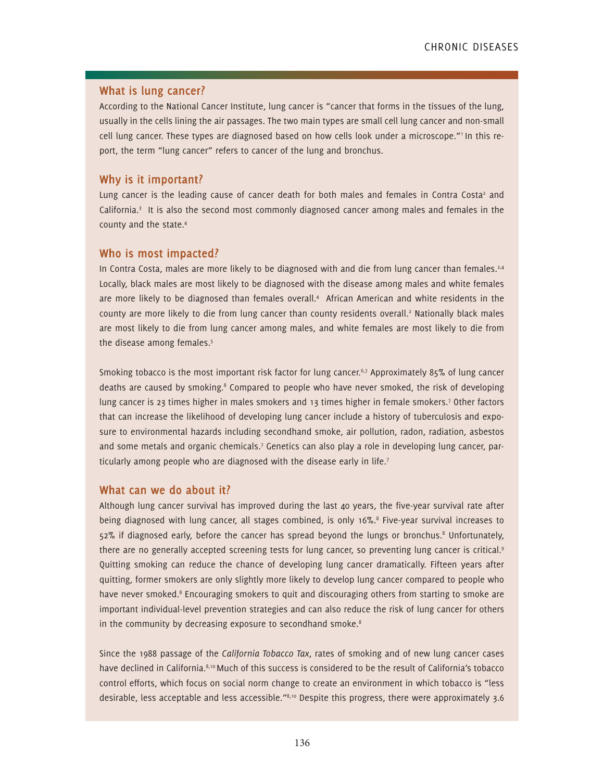#### **What is lung cancer?**

According to the National Cancer Institute, lung cancer is "cancer that forms in the tissues of the lung, usually in the cells lining the air passages. The two main types are small cell lung cancer and non-small cell lung cancer. These types are diagnosed based on how cells look under a microscope."1 In this report, the term "lung cancer" refers to cancer of the lung and bronchus.

### **Why is it important?**

Lung cancer is the leading cause of cancer death for both males and females in Contra Costa<sup>2</sup> and California.3 It is also the second most commonly diagnosed cancer among males and females in the county and the state.4

### **Who is most impacted?**

In Contra Costa, males are more likely to be diagnosed with and die from lung cancer than females.<sup>2,4</sup> Locally, black males are most likely to be diagnosed with the disease among males and white females are more likely to be diagnosed than females overall.<sup>4</sup> African American and white residents in the county are more likely to die from lung cancer than county residents overall.<sup>2</sup> Nationally black males are most likely to die from lung cancer among males, and white females are most likely to die from the disease among females.<sup>5</sup>

Smoking tobacco is the most important risk factor for lung cancer.<sup>6,7</sup> Approximately 85% of lung cancer deaths are caused by smoking.<sup>8</sup> Compared to people who have never smoked, the risk of developing lung cancer is 23 times higher in males smokers and 13 times higher in female smokers.<sup>7</sup> Other factors that can increase the likelihood of developing lung cancer include a history of tuberculosis and exposure to environmental hazards including secondhand smoke, air pollution, radon, radiation, asbestos and some metals and organic chemicals.<sup>7</sup> Genetics can also play a role in developing lung cancer, particularly among people who are diagnosed with the disease early in life.<sup>7</sup>

### **What can we do about it?**

Although lung cancer survival has improved during the last 40 years, the five-year survival rate after being diagnosed with lung cancer, all stages combined, is only 16%.<sup>8</sup> Five-year survival increases to 52% if diagnosed early, before the cancer has spread beyond the lungs or bronchus.<sup>8</sup> Unfortunately, there are no generally accepted screening tests for lung cancer, so preventing lung cancer is critical.<sup>9</sup> Quitting smoking can reduce the chance of developing lung cancer dramatically. Fifteen years after quitting, former smokers are only slightly more likely to develop lung cancer compared to people who have never smoked.<sup>8</sup> Encouraging smokers to quit and discouraging others from starting to smoke are important individual-level prevention strategies and can also reduce the risk of lung cancer for others in the community by decreasing exposure to secondhand smoke.<sup>8</sup>

Since the 1988 passage of the *California Tobacco Tax*, rates of smoking and of new lung cancer cases have declined in California.8,10 Much of this success is considered to be the result of California's tobacco control efforts, which focus on social norm change to create an environment in which tobacco is "less desirable, less acceptable and less accessible."8,10 Despite this progress, there were approximately 3.6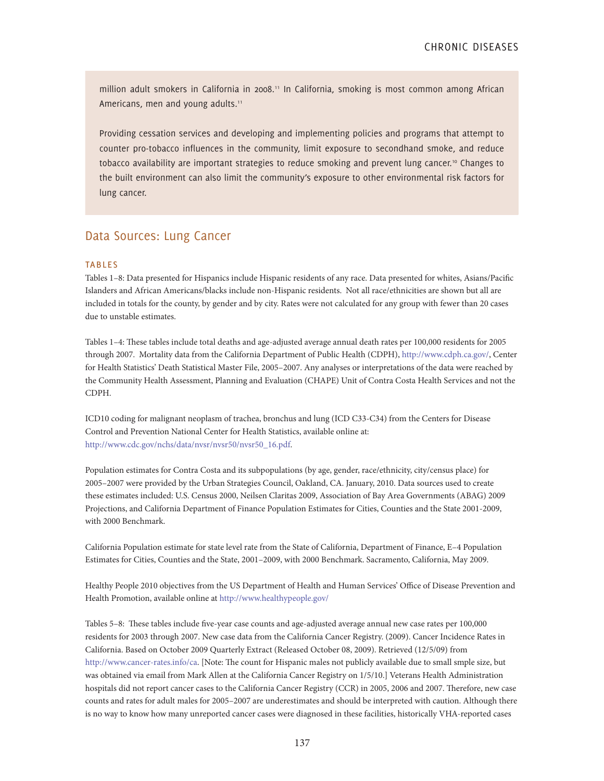million adult smokers in California in 2008.<sup>11</sup> In California, smoking is most common among African Americans, men and young adults.<sup>11</sup>

Providing cessation services and developing and implementing policies and programs that attempt to counter pro-tobacco influences in the community, limit exposure to secondhand smoke, and reduce tobacco availability are important strategies to reduce smoking and prevent lung cancer.<sup>10</sup> Changes to the built environment can also limit the community's exposure to other environmental risk factors for lung cancer.

### Data Sources: Lung Cancer

#### **TABLES**

Tables 1–8: Data presented for Hispanics include Hispanic residents of any race. Data presented for whites, Asians/Pacific Islanders and African Americans/blacks include non-Hispanic residents. Not all race/ethnicities are shown but all are included in totals for the county, by gender and by city. Rates were not calculated for any group with fewer than 20 cases due to unstable estimates.

Tables 1–4: These tables include total deaths and age-adjusted average annual death rates per 100,000 residents for 2005 through 2007. Mortality data from the California Department of Public Health (CDPH), http://www.cdph.ca.gov/, Center for Health Statistics' Death Statistical Master File, 2005–2007. Any analyses or interpretations of the data were reached by the Community Health Assessment, Planning and Evaluation (CHAPE) Unit of Contra Costa Health Services and not the CDPH.

ICD10 coding for malignant neoplasm of trachea, bronchus and lung (ICD C33-C34) from the Centers for Disease Control and Prevention National Center for Health Statistics, available online at: http://www.cdc.gov/nchs/data/nvsr/nvsr50/nvsr50\_16.pdf.

Population estimates for Contra Costa and its subpopulations (by age, gender, race/ethnicity, city/census place) for 2005–2007 were provided by the Urban Strategies Council, Oakland, CA. January, 2010. Data sources used to create these estimates included: U.S. Census 2000, Neilsen Claritas 2009, Association of Bay Area Governments (ABAG) 2009 Projections, and California Department of Finance Population Estimates for Cities, Counties and the State 2001-2009, with 2000 Benchmark.

California Population estimate for state level rate from the State of California, Department of Finance, E–4 Population Estimates for Cities, Counties and the State, 2001–2009, with 2000 Benchmark. Sacramento, California, May 2009.

Healthy People 2010 objectives from the US Department of Health and Human Services' Office of Disease Prevention and Health Promotion, available online at http://www.healthypeople.gov/

Tables 5–8: These tables include five-year case counts and age-adjusted average annual new case rates per 100,000 residents for 2003 through 2007. New case data from the California Cancer Registry. (2009). Cancer Incidence Rates in California. Based on October 2009 Quarterly Extract (Released October 08, 2009). Retrieved (12/5/09) from http://www.cancer-rates.info/ca. [Note: The count for Hispanic males not publicly available due to small smple size, but was obtained via email from Mark Allen at the California Cancer Registry on 1/5/10.] Veterans Health Administration hospitals did not report cancer cases to the California Cancer Registry (CCR) in 2005, 2006 and 2007. Therefore, new case counts and rates for adult males for 2005–2007 are underestimates and should be interpreted with caution. Although there is no way to know how many unreported cancer cases were diagnosed in these facilities, historically VHA-reported cases